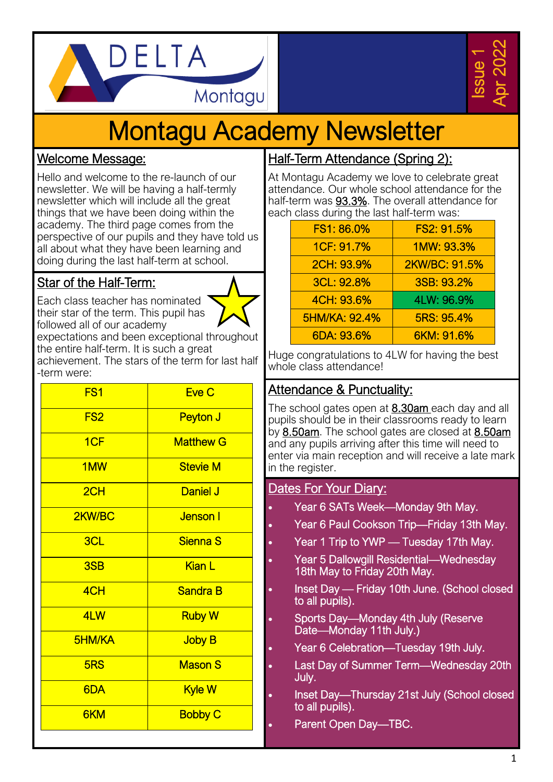



# Montagu Academy Newsletter

#### Welcome Message:

Hello and welcome to the re-launch of our newsletter. We will be having a half-termly newsletter which will include all the great things that we have been doing within the academy. The third page comes from the perspective of our pupils and they have told us all about what they have been learning and doing during the last half-term at school.

# Star of the Half-Term:

Each class teacher has nominated their star of the term. This pupil has followed all of our academy



expectations and been exceptional throughout the entire half-term. It is such a great achievement. The stars of the term for last half -term were:

| FS <sub>1</sub> | Eve C            |
|-----------------|------------------|
| FS <sub>2</sub> | Peyton J         |
| 1CF             | <b>Matthew G</b> |
| 1MW             | <b>Stevie M</b>  |
| 2CH             | <b>Daniel J</b>  |
| 2KW/BC          | <b>Jenson</b> I  |
| 3CL             | <b>Sienna S</b>  |
| 3SB             | <b>Kian L</b>    |
| 4CH             | <b>Sandra B</b>  |
| 4LW             | <b>Ruby W</b>    |
| <b>5HM/KA</b>   | <b>Joby B</b>    |
| 5RS             | <b>Mason S</b>   |
| 6DA             | Kyle W           |
| 6KM             | <b>Bobby C</b>   |

# Half-Term Attendance (Spring 2):

At Montagu Academy we love to celebrate great attendance. Our whole school attendance for the half-term was 93.3%. The overall attendance for each class during the last half-term was:

| FS1: 86.0%    | FS2: 91.5%    |
|---------------|---------------|
| 1CF: 91.7%    | 1MW: 93.3%    |
| 2CH: 93.9%    | 2KW/BC: 91.5% |
| 3CL: 92.8%    | 3SB: 93.2%    |
| 4CH: 93.6%    | 4LW: 96.9%    |
| 5HM/KA: 92.4% | 5RS: 95.4%    |
| 6DA: 93.6%    | 6KM: 91.6%    |

Huge congratulations to 4LW for having the best whole class attendance!

#### Attendance & Punctuality:

The school gates open at 8.30am each day and all pupils should be in their classrooms ready to learn by 8.50am. The school gates are closed at 8.50am and any pupils arriving after this time will need to enter via main reception and will receive a late mark in the register.

#### Dates For Your Diary:

- Year 6 SATs Week—Monday 9th May.
- Year 6 Paul Cookson Trip—Friday 13th May.
- Year 1 Trip to YWP Tuesday 17th May.
- Year 5 Dallowgill Residential—Wednesday 18th May to Friday 20th May.
- Inset Day Friday 10th June. (School closed to all pupils).
- Sports Day—Monday 4th July (Reserve Date—Monday 11th July.)
- Year 6 Celebration—Tuesday 19th July.
- Last Day of Summer Term—Wednesday 20th July.
- Inset Day—Thursday 21st July (School closed to all pupils).
- Parent Open Day-TBC.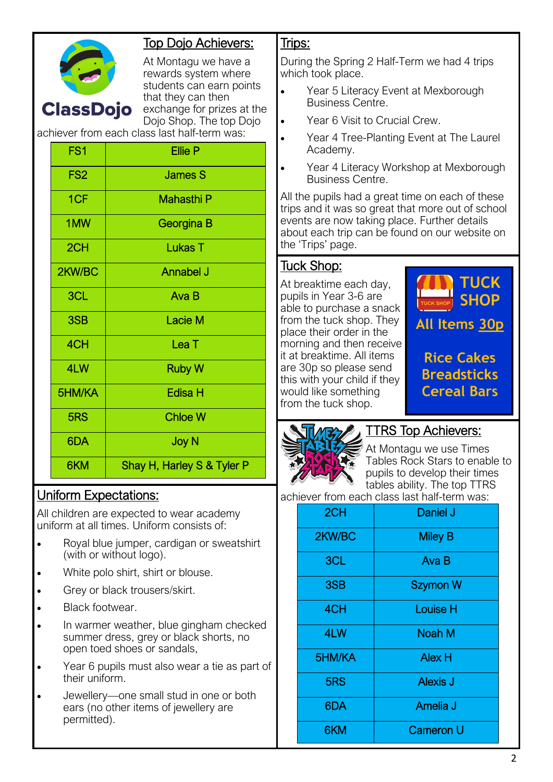

# Top Dojo Achievers:

At Montagu we have a rewards system where students can earn points that they can then exchange for prizes at the Dojo Shop. The top Dojo

achiever from each class last half-term was:

| FS <sub>1</sub> | <b>Ellie P</b>             |
|-----------------|----------------------------|
| FS <sub>2</sub> | <b>James S</b>             |
| 1CF             | Mahasthi P                 |
| 1MW             | Georgina B                 |
| 2CH             | <b>Lukas T</b>             |
| 2KW/BC          | <b>Annabel J</b>           |
| 3CL             | Ava B                      |
| 3SB             | <b>Lacie M</b>             |
| 4CH             | Lea <sub>T</sub>           |
| 4LW             | <b>Ruby W</b>              |
| 5HM/KA          | <b>Edisa H</b>             |
| 5RS             | <b>Chloe W</b>             |
| 6DA             | <b>Joy N</b>               |
| 6KM             | Shay H, Harley S & Tyler P |

## Uniform Expectations:

All children are expected to wear academy uniform at all times. Uniform consists of:

- Royal blue jumper, cardigan or sweatshirt (with or without logo).
- White polo shirt, shirt or blouse.
- Grey or black trousers/skirt.
- Black footwear.
- In warmer weather, blue gingham checked summer dress, grey or black shorts, no open toed shoes or sandals,
- Year 6 pupils must also wear a tie as part of their uniform.
- Jewellery—one small stud in one or both ears (no other items of jewellery are permitted).

#### Trips:

During the Spring 2 Half-Term we had 4 trips which took place.

- Year 5 Literacy Event at Mexborough Business Centre.
- Year 6 Visit to Crucial Crew.
- Year 4 Tree-Planting Event at The Laurel Academy.
- Year 4 Literacy Workshop at Mexborough Business Centre.

All the pupils had a great time on each of these trips and it was so great that more out of school events are now taking place. Further details about each trip can be found on our website on the 'Trips' page.

## Tuck Shop:

At breaktime each day, pupils in Year 3-6 are able to purchase a snack from the tuck shop. They place their order in the morning and then receive it at breaktime. All items are 30p so please send this with your child if they would like something from the tuck shop.





TTRS Top Achievers:

At Montagu we use Times Tables Rock Stars to enable to pupils to develop their times tables ability. The top TTRS

achiever from each class last half-term was:

| 2CH    | Daniel J         |
|--------|------------------|
| 2KW/BC | <b>Miley B</b>   |
| 3CL    | Ava B            |
| 3SB    | <b>Szymon W</b>  |
| 4CH    | <b>Louise H</b>  |
| 4LW    | Noah M           |
| 5HM/KA | <b>Alex H</b>    |
| 5RS    | <b>Alexis J</b>  |
| 6DA    | Amelia J         |
| 6KM    | <b>Cameron U</b> |